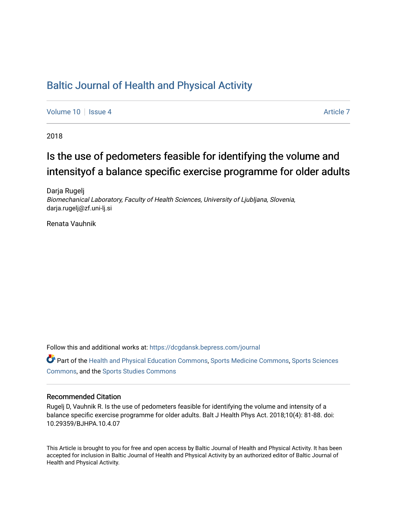### [Baltic Journal of Health and Physical Activity](https://dcgdansk.bepress.com/journal)

[Volume 10](https://dcgdansk.bepress.com/journal/vol10) | [Issue 4](https://dcgdansk.bepress.com/journal/vol10/iss4) Article 7

2018

## Is the use of pedometers feasible for identifying the volume and intensity of a balance specific exercise programme for older adults

Darja Rugelj Biomechanical Laboratory, Faculty of Health Sciences, University of Ljubljana, Slovenia, darja.rugelj@zf.uni-lj.si

Renata Vauhnik

Follow this and additional works at: [https://dcgdansk.bepress.com/journal](https://dcgdansk.bepress.com/journal?utm_source=dcgdansk.bepress.com%2Fjournal%2Fvol10%2Fiss4%2F7&utm_medium=PDF&utm_campaign=PDFCoverPages)

Part of the [Health and Physical Education Commons](http://network.bepress.com/hgg/discipline/1327?utm_source=dcgdansk.bepress.com%2Fjournal%2Fvol10%2Fiss4%2F7&utm_medium=PDF&utm_campaign=PDFCoverPages), [Sports Medicine Commons,](http://network.bepress.com/hgg/discipline/1331?utm_source=dcgdansk.bepress.com%2Fjournal%2Fvol10%2Fiss4%2F7&utm_medium=PDF&utm_campaign=PDFCoverPages) [Sports Sciences](http://network.bepress.com/hgg/discipline/759?utm_source=dcgdansk.bepress.com%2Fjournal%2Fvol10%2Fiss4%2F7&utm_medium=PDF&utm_campaign=PDFCoverPages) [Commons](http://network.bepress.com/hgg/discipline/759?utm_source=dcgdansk.bepress.com%2Fjournal%2Fvol10%2Fiss4%2F7&utm_medium=PDF&utm_campaign=PDFCoverPages), and the [Sports Studies Commons](http://network.bepress.com/hgg/discipline/1198?utm_source=dcgdansk.bepress.com%2Fjournal%2Fvol10%2Fiss4%2F7&utm_medium=PDF&utm_campaign=PDFCoverPages) 

#### Recommended Citation

Rugelj D, Vauhnik R. Is the use of pedometers feasible for identifying the volume and intensity of a balance specific exercise programme for older adults. Balt J Health Phys Act. 2018;10(4): 81-88. doi: 10.29359/BJHPA.10.4.07

This Article is brought to you for free and open access by Baltic Journal of Health and Physical Activity. It has been accepted for inclusion in Baltic Journal of Health and Physical Activity by an authorized editor of Baltic Journal of Health and Physical Activity.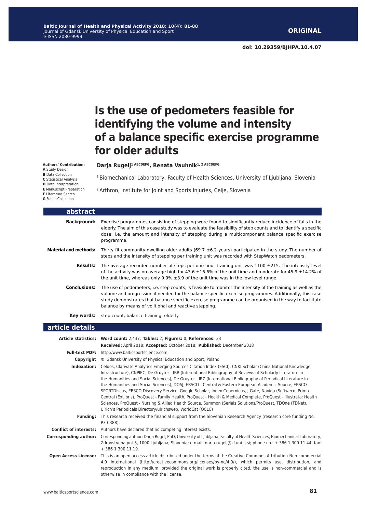**doi: 10.29359/BJHPA.10.4.07**

# **Is the use of pedometers feasible for identifying the volume and intensity of a balance specific exercise programme for older adults**

**Authors' Contribution:**

**A** Study Design

**B** Data Collection **C** Statistical Analysis

**D** Data Interpretation

**E** Manuscript Preparation

**F** Literature Search

**G** Funds Collection

Darja Rugelj<sup>1 ABCDEFG</sup>, Renata Vauhnik<sup>1, 2 ABCDEFG</sup>

<sup>1</sup> Biomechanical Laboratory, Faculty of Health Sciences, University of Ljubljana, Slovenia

2 Arthron, Institute for Joint and Sports Injuries, Celje, Slovenia

| abstract                     |                                                                                                                                                                                                                                                                                                                                                                                          |
|------------------------------|------------------------------------------------------------------------------------------------------------------------------------------------------------------------------------------------------------------------------------------------------------------------------------------------------------------------------------------------------------------------------------------|
| Background:                  | Exercise programmes consisting of stepping were found to significantly reduce incidence of falls in the<br>elderly. The aim of this case study was to evaluate the feasibility of step counts and to identify a specific<br>dose, i.e. the amount and intensity of stepping during a multicomponent balance specific exercise<br>programme.                                              |
| <b>Material and methods:</b> | Thirty fit community-dwelling older adults (69.7 $\pm$ 6.2 years) participated in the study. The number of<br>steps and the intensity of stepping per training unit was recorded with StepWatch pedometers.                                                                                                                                                                              |
| <b>Results:</b>              | The average recorded number of steps per one-hour training unit was $1100 \pm 215$ . The intensity level<br>of the activity was on average high for 43.6 $\pm 16.6\%$ of the unit time and moderate for 45.9 $\pm 14.2\%$ of<br>the unit time, whereas only $9.9\% \pm 3.9$ of the unit time was in the low level range.                                                                 |
| <b>Conclusions:</b>          | The use of pedometers, i.e. step counts, is feasible to monitor the intensity of the training as well as the<br>volume and progression if needed for the balance specific exercise programmes. Additionally, this case<br>study demonstrates that balance specific exercise programme can be organised in the way to facilitate<br>balance by means of volitional and reactive stepping. |
| Kev words:                   | step count, balance training, elderly.                                                                                                                                                                                                                                                                                                                                                   |

#### **article details**

|                               | Article statistics: Word count: 2,437; Tables: 2; Figures: 0; References: 33                                                                                                                                                                                                                                                                                                                                                                                                                                                                                                                                                                                                                                                                                                                                                                                  |  |  |
|-------------------------------|---------------------------------------------------------------------------------------------------------------------------------------------------------------------------------------------------------------------------------------------------------------------------------------------------------------------------------------------------------------------------------------------------------------------------------------------------------------------------------------------------------------------------------------------------------------------------------------------------------------------------------------------------------------------------------------------------------------------------------------------------------------------------------------------------------------------------------------------------------------|--|--|
|                               | Received: April 2018; Accepted: October 2018; Published: December 2018                                                                                                                                                                                                                                                                                                                                                                                                                                                                                                                                                                                                                                                                                                                                                                                        |  |  |
|                               | Full-text PDF: http://www.balticsportscience.com                                                                                                                                                                                                                                                                                                                                                                                                                                                                                                                                                                                                                                                                                                                                                                                                              |  |  |
| Copyright                     | © Gdansk University of Physical Education and Sport, Poland                                                                                                                                                                                                                                                                                                                                                                                                                                                                                                                                                                                                                                                                                                                                                                                                   |  |  |
| Indexation:                   | Celdes, Clarivate Analytics Emerging Sources Citation Index (ESCI), CNKI Scholar (China National Knowledge<br>Infrastructure), CNPIEC, De Gruyter - IBR (International Bibliography of Reviews of Scholarly Literature in<br>the Humanities and Social Sciences), De Gruyter - IBZ (International Bibliography of Periodical Literature in<br>the Humanities and Social Sciences), DOAJ, EBSCO - Central & Eastern European Academic Source, EBSCO -<br>SPORTDiscus, EBSCO Discovery Service, Google Scholar, Index Copernicus, J-Gate, Naviga (Softweco, Primo<br>Central (ExLibris), ProQuest - Family Health, ProQuest - Health & Medical Complete, ProQuest - Illustrata: Health<br>Sciences, ProQuest - Nursing & Allied Health Source, Summon (Serials Solutions/ProQuest, TDOne (TDNet),<br>Ulrich's Periodicals Directory/ulrichsweb, WorldCat (OCLC) |  |  |
| <b>Funding:</b>               | This research received the financial support from the Slovenian Research Agency (research core funding No.<br>P3-0388).                                                                                                                                                                                                                                                                                                                                                                                                                                                                                                                                                                                                                                                                                                                                       |  |  |
| <b>Conflict of interests:</b> | Authors have declared that no competing interest exists.                                                                                                                                                                                                                                                                                                                                                                                                                                                                                                                                                                                                                                                                                                                                                                                                      |  |  |
| <b>Corresponding author:</b>  | Corresponding author: Darja Rugelj PhD, University of Ljubljana, Faculty of Health Sciences, Biomechanical Laboratory,<br>Zdravstvena pot 5, 1000 Ljubljana, Slovenia; e-mail: darja.rugelj@zf.uni-lj.si; phone no.: + 386 1 300 11 44; fax:<br>$+38613001119.$                                                                                                                                                                                                                                                                                                                                                                                                                                                                                                                                                                                               |  |  |
| <b>Open Access License:</b>   | This is an open access article distributed under the terms of the Creative Commons Attribution-Non-commercial<br>4.0 International (http://creativecommons.org/licenses/by-nc/4.0/), which permits use, distribution, and<br>reproduction in any medium, provided the original work is properly cited, the use is non-commercial and is<br>otherwise in compliance with the license.                                                                                                                                                                                                                                                                                                                                                                                                                                                                          |  |  |
|                               |                                                                                                                                                                                                                                                                                                                                                                                                                                                                                                                                                                                                                                                                                                                                                                                                                                                               |  |  |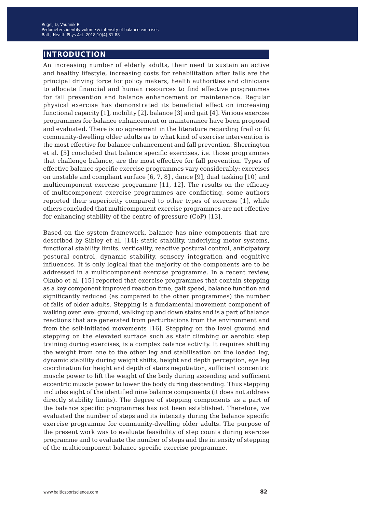#### **introduction**

An increasing number of elderly adults, their need to sustain an active and healthy lifestyle, increasing costs for rehabilitation after falls are the principal driving force for policy makers, health authorities and clinicians to allocate financial and human resources to find effective programmes for fall prevention and balance enhancement or maintenance. Regular physical exercise has demonstrated its beneficial effect on increasing functional capacity [1], mobility [2], balance [3] and gait [4]. Various exercise programmes for balance enhancement or maintenance have been proposed and evaluated. There is no agreement in the literature regarding frail or fit community-dwelling older adults as to what kind of exercise intervention is the most effective for balance enhancement and fall prevention. Sherrington et al. [5] concluded that balance specific exercises, i.e. those programmes that challenge balance, are the most effective for fall prevention. Types of effective balance specific exercise programmes vary considerably: exercises on unstable and compliant surface [6, 7, 8] , dance [9], dual tasking [10] and multicomponent exercise programme [11, 12]. The results on the efficacy of multicomponent exercise programmes are conflicting, some authors reported their superiority compared to other types of exercise [1], while others concluded that multicomponent exercise programmes are not effective for enhancing stability of the centre of pressure (CoP) [13].

Based on the system framework, balance has nine components that are described by Sibley et al. [14]: static stability, underlying motor systems, functional stability limits, verticality, reactive postural control, anticipatory postural control, dynamic stability, sensory integration and cognitive influences. It is only logical that the majority of the components are to be addressed in a multicomponent exercise programme. In a recent review, Okubo et al. [15] reported that exercise programmes that contain stepping as a key component improved reaction time, gait speed, balance function and significantly reduced (as compared to the other programmes) the number of falls of older adults. Stepping is a fundamental movement component of walking over level ground, walking up and down stairs and is a part of balance reactions that are generated from perturbations from the environment and from the self-initiated movements [16]. Stepping on the level ground and stepping on the elevated surface such as stair climbing or aerobic step training during exercises, is a complex balance activity. It requires shifting the weight from one to the other leg and stabilisation on the loaded leg, dynamic stability during weight shifts, height and depth perception, eye leg coordination for height and depth of stairs negotiation, sufficient concentric muscle power to lift the weight of the body during ascending and sufficient eccentric muscle power to lower the body during descending. Thus stepping includes eight of the identified nine balance components (it does not address directly stability limits). The degree of stepping components as a part of the balance specific programmes has not been established. Therefore, we evaluated the number of steps and its intensity during the balance specific exercise programme for community-dwelling older adults. The purpose of the present work was to evaluate feasibility of step counts during exercise programme and to evaluate the number of steps and the intensity of stepping of the multicomponent balance specific exercise programme.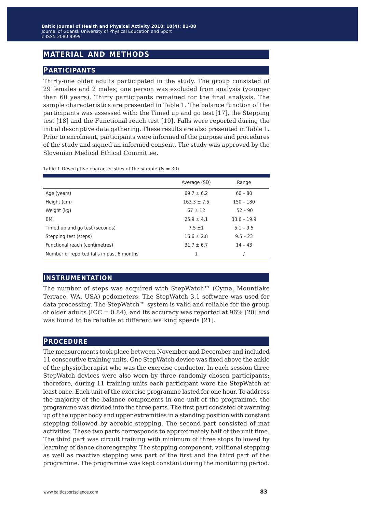### **material and methods**

#### **participants**

Thirty-one older adults participated in the study. The group consisted of 29 females and 2 males; one person was excluded from analysis (younger than 60 years). Thirty participants remained for the final analysis. The sample characteristics are presented in Table 1. The balance function of the participants was assessed with: the Timed up and go test [17], the Stepping test [18] and the Functional reach test [19]. Falls were reported during the initial descriptive data gathering. These results are also presented in Table 1. Prior to enrolment, participants were informed of the purpose and procedures of the study and signed an informed consent. The study was approved by the Slovenian Medical Ethical Committee.

|                                           | Average (SD)    | Range         |
|-------------------------------------------|-----------------|---------------|
| Age (years)                               | $69.7 \pm 6.2$  | $60 - 80$     |
| Height (cm)                               | $163.3 \pm 7.5$ | $150 - 180$   |
| Weight (kg)                               | $67 \pm 12$     | $52 - 90$     |
| BMI                                       | $25.9 \pm 4.1$  | $33.6 - 19.9$ |
| Timed up and go test (seconds)            | $7.5 \pm 1$     | $5.1 - 9.5$   |
| Stepping test (steps)                     | $16.6 \pm 2.8$  | $9.5 - 23$    |
| Functional reach (centimetres)            | $31.7 \pm 6.7$  | $14 - 43$     |
| Number of reported falls in past 6 months |                 |               |

Table 1 Descriptive characteristics of the sample  $(N = 30)$ 

#### **instrumentation**

The number of steps was acquired with StepWatch™ (Cyma, Mountlake Terrace, WA, USA) pedometers. The StepWatch 3.1 software was used for data processing. The StepWatch™ system is valid and reliable for the group of older adults (ICC =  $0.84$ ), and its accuracy was reported at 96% [20] and was found to be reliable at different walking speeds [21].

#### **procedure**

The measurements took place between November and December and included 11 consecutive training units. One StepWatch device was fixed above the ankle of the physiotherapist who was the exercise conductor. In each session three StepWatch devices were also worn by three randomly chosen participants; therefore, during 11 training units each participant wore the StepWatch at least once. Each unit of the exercise programme lasted for one hour. To address the majority of the balance components in one unit of the programme, the programme was divided into the three parts. The first part consisted of warming up of the upper body and upper extremities in a standing position with constant stepping followed by aerobic stepping. The second part consisted of mat activities. These two parts corresponds to approximately half of the unit time. The third part was circuit training with minimum of three stops followed by learning of dance choreography. The stepping component, volitional stepping as well as reactive stepping was part of the first and the third part of the programme. The programme was kept constant during the monitoring period.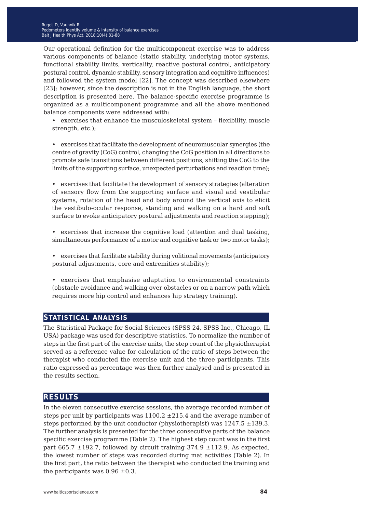Our operational definition for the multicomponent exercise was to address various components of balance (static stability, underlying motor systems, functional stability limits, verticality, reactive postural control, anticipatory postural control, dynamic stability, sensory integration and cognitive influences) and followed the system model [22]. The concept was described elsewhere [23]; however, since the description is not in the English language, the short description is presented here. The balance-specific exercise programme is organized as a multicomponent programme and all the above mentioned balance components were addressed with:

• exercises that enhance the musculoskeletal system – flexibility, muscle strength, etc.);

• exercises that facilitate the development of neuromuscular synergies (the centre of gravity (CoG) control, changing the CoG position in all directions to promote safe transitions between different positions, shifting the CoG to the limits of the supporting surface, unexpected perturbations and reaction time);

• exercises that facilitate the development of sensory strategies (alteration of sensory flow from the supporting surface and visual and vestibular systems, rotation of the head and body around the vertical axis to elicit the vestibulo-ocular response, standing and walking on a hard and soft surface to evoke anticipatory postural adjustments and reaction stepping);

- exercises that increase the cognitive load (attention and dual tasking, simultaneous performance of a motor and cognitive task or two motor tasks);
- exercises that facilitate stability during volitional movements (anticipatory postural adjustments, core and extremities stability);
- exercises that emphasise adaptation to environmental constraints (obstacle avoidance and walking over obstacles or on a narrow path which requires more hip control and enhances hip strategy training).

#### **statistical analysis**

The Statistical Package for Social Sciences (SPSS 24, SPSS Inc., Chicago, IL USA) package was used for descriptive statistics. To normalize the number of steps in the first part of the exercise units, the step count of the physiotherapist served as a reference value for calculation of the ratio of steps between the therapist who conducted the exercise unit and the three participants. This ratio expressed as percentage was then further analysed and is presented in the results section.

#### **results**

In the eleven consecutive exercise sessions, the average recorded number of steps per unit by participants was  $1100.2 \pm 215.4$  and the average number of steps performed by the unit conductor (physiotherapist) was  $1247.5 \pm 139.3$ . The further analysis is presented for the three consecutive parts of the balance specific exercise programme (Table 2). The highest step count was in the first part 665.7  $\pm$ 192.7, followed by circuit training 374.9  $\pm$ 112.9. As expected, the lowest number of steps was recorded during mat activities (Table 2). In the first part, the ratio between the therapist who conducted the training and the participants was  $0.96 \pm 0.3$ .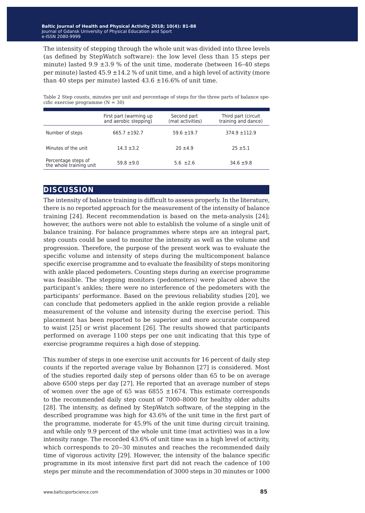The intensity of stepping through the whole unit was divided into three levels (as defined by StepWatch software): the low level (less than 15 steps per minute) lasted  $9.9 \pm 3.9$  % of the unit time, moderate (between 16-40 steps per minute) lasted  $45.9 \pm 14.2$  % of unit time, and a high level of activity (more than 40 steps per minute) lasted  $43.6 \pm 16.6$ % of unit time.

Table 2 Step counts, minutes per unit and percentage of steps for the three parts of balance specific exercise programme  $(N = 30)$ 

|                                                | First part (warming up<br>and aerobic stepping) | Second part<br>(mat activities) | Third part (circuit<br>training and dance) |
|------------------------------------------------|-------------------------------------------------|---------------------------------|--------------------------------------------|
| Number of steps                                | $665.7 + 192.7$                                 | $59.6 \pm 19.7$                 | $374.9 \pm 112.9$                          |
| Minutes of the unit                            | $14.3 \pm 3.2$                                  | $20 \pm 4.9$                    | $25 \pm 5.1$                               |
| Percentage steps of<br>the whole training unit | $59.8 \pm 9.0$                                  | 5.6 $\pm 2.6$                   | $34.6 \pm 9.8$                             |

#### **discussion**

The intensity of balance training is difficult to assess properly. In the literature, there is no reported approach for the measurement of the intensity of balance training [24]. Recent recommendation is based on the meta-analysis [24]; however, the authors were not able to establish the volume of a single unit of balance training. For balance programmes where steps are an integral part, step counts could be used to monitor the intensity as well as the volume and progression. Therefore, the purpose of the present work was to evaluate the specific volume and intensity of steps during the multicomponent balance specific exercise programme and to evaluate the feasibility of steps monitoring with ankle placed pedometers. Counting steps during an exercise programme was feasible. The stepping monitors (pedometers) were placed above the participant's ankles; there were no interference of the pedometers with the participants' performance. Based on the previous reliability studies [20], we can conclude that pedometers applied in the ankle region provide a reliable measurement of the volume and intensity during the exercise period. This placement has been reported to be superior and more accurate compared to waist [25] or wrist placement [26]. The results showed that participants performed on average 1100 steps per one unit indicating that this type of exercise programme requires a high dose of stepping.

This number of steps in one exercise unit accounts for 16 percent of daily step counts if the reported average value by Bohannon [27] is considered. Most of the studies reported daily step of persons older than 65 to be on average above 6500 steps per day [27]. He reported that an average number of steps of women over the age of 65 was 6855  $\pm 1674$ . This estimate corresponds to the recommended daily step count of 7000–8000 for healthy older adults [28]. The intensity, as defined by StepWatch software, of the stepping in the described programme was high for 43.6% of the unit time in the first part of the programme, moderate for 45.9% of the unit time during circuit training, and while only 9.9 percent of the whole unit time (mat activities) was in a low intensity range. The recorded 43.6% of unit time was in a high level of activity, which corresponds to 20–30 minutes and reaches the recommended daily time of vigorous activity [29]. However, the intensity of the balance specific programme in its most intensive first part did not reach the cadence of 100 steps per minute and the recommendation of 3000 steps in 30 minutes or 1000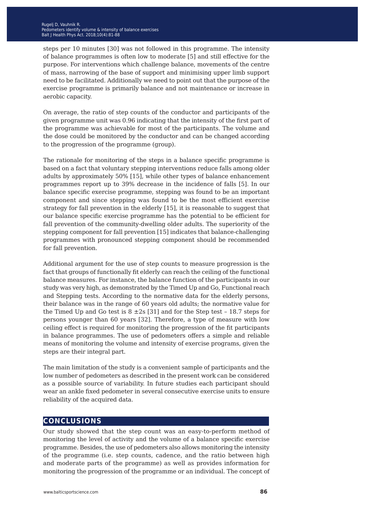steps per 10 minutes [30] was not followed in this programme. The intensity of balance programmes is often low to moderate [5] and still effective for the purpose. For interventions which challenge balance, movements of the centre of mass, narrowing of the base of support and minimising upper limb support need to be facilitated. Additionally we need to point out that the purpose of the exercise programme is primarily balance and not maintenance or increase in aerobic capacity.

On average, the ratio of step counts of the conductor and participants of the given programme unit was 0.96 indicating that the intensity of the first part of the programme was achievable for most of the participants. The volume and the dose could be monitored by the conductor and can be changed according to the progression of the programme (group).

The rationale for monitoring of the steps in a balance specific programme is based on a fact that voluntary stepping interventions reduce falls among older adults by approximately 50% [15], while other types of balance enhancement programmes report up to 39% decrease in the incidence of falls [5]. In our balance specific exercise programme, stepping was found to be an important component and since stepping was found to be the most efficient exercise strategy for fall prevention in the elderly [15], it is reasonable to suggest that our balance specific exercise programme has the potential to be efficient for fall prevention of the community-dwelling older adults. The superiority of the stepping component for fall prevention [15] indicates that balance-challenging programmes with pronounced stepping component should be recommended for fall prevention.

Additional argument for the use of step counts to measure progression is the fact that groups of functionally fit elderly can reach the ceiling of the functional balance measures. For instance, the balance function of the participants in our study was very high, as demonstrated by the Timed Up and Go, Functional reach and Stepping tests. According to the normative data for the elderly persons, their balance was in the range of 60 years old adults; the normative value for the Timed Up and Go test is  $8 \pm 2s$  [31] and for the Step test - 18.7 steps for persons younger than 60 years [32]. Therefore, a type of measure with low ceiling effect is required for monitoring the progression of the fit participants in balance programmes. The use of pedometers offers a simple and reliable means of monitoring the volume and intensity of exercise programs, given the steps are their integral part.

The main limitation of the study is a convenient sample of participants and the low number of pedometers as described in the present work can be considered as a possible source of variability. In future studies each participant should wear an ankle fixed pedometer in several consecutive exercise units to ensure reliability of the acquired data.

#### **conclusions**

Our study showed that the step count was an easy-to-perform method of monitoring the level of activity and the volume of a balance specific exercise programme. Besides, the use of pedometers also allows monitoring the intensity of the programme (i.e. step counts, cadence, and the ratio between high and moderate parts of the programme) as well as provides information for monitoring the progression of the programme or an individual. The concept of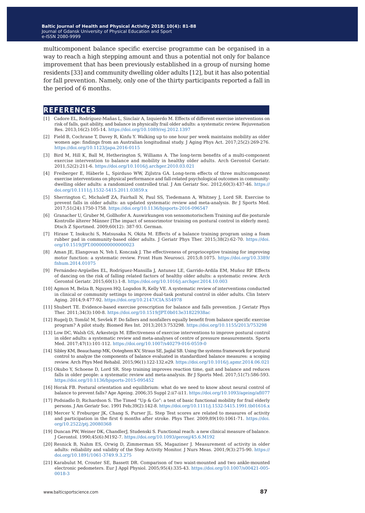multicomponent balance specific exercise programme can be organised in a way to reach a high stepping amount and thus a potential not only for balance improvement that has been previously established in a group of nursing home residents [33] and community dwelling older adults [12], but it has also potential for fall prevention. Namely, only one of the thirty participants reported a fall in the period of 6 months.

#### **references**

- [1] Cadore EL, Rodríguez-Mañas L, Sinclair A, Izquierdo M. Effects of different exercise interventions on risk of falls, gait ability, and balance in physically frail older adults: a systematic review. Rejuvenation Res. 2013;16(2):105-14. <https://doi.org/10.1089/rej.2012.1397>
- [2] Field B, Cochrane T, Davey R, Kinfu Y. Walking up to one hour per week maintains mobility as older women age: findings from an Australian longitudinal study. J Aging Phys Act. 2017;25(2):269-276. <https://doi.org/10.1123/japa.2016-0115>
- [3] Bird M, Hill K, Ball M, Hetherington S, Williams A. The long-term benefits of a multi-component exercise intervention to balance and mobility in healthy older adults. Arch Gerontol Geriatr. 2011;52(2):211-6. <https://doi.org/10.1016/j.archger.2010.03.021>
- [4] Freiberger E, Häberle L, Spirduso WW, Zijlstra GA. Long-term effects of three multicomponent exercise interventions on physical performance and fall-related psychological outcomes in communitydwelling older adults: a randomized controlled trial. J Am Geriatr Soc. 2012;60(3):437-46. [https://](https://doi.org/10.1111/j.1532-5415.2011.03859.x) [doi.org/10.1111/j.1532-5415.2011.03859.x](https://doi.org/10.1111/j.1532-5415.2011.03859.x)
- [5] Sherrington C, Michaleff ZA, Fairhall N, Paul SS, Tiedemann A, Whitney J, Lord SR. Exercise to prevent falls in older adults: an updated systematic review and meta-analysis. Br J Sports Med. 2017;51(24):1750-1758.<https://doi.org/10.1136/bjsports-2016-096547>
- [6] Granacher U, Gruber M, Gollhofer A. Auswirkungen von sensomotorischem Training auf die posturale Kontrolle älterer Männer [The impact of sensorimotor training on postural control in elderly men]. Dtsch Z Sportmed. 2009;60(12): 387-93. German.
- [7] Hirase T, Inokuchi S, Matsusaka N, Okita M. Effects of a balance training program using a foam rubber pad in community-based older adults. J Geriatr Phys Ther. 2015;38(2):62-70. [https://doi.](https://doi.org/10.1519/JPT.0000000000000023) [org/10.1519/JPT.0000000000000023](https://doi.org/10.1519/JPT.0000000000000023)
- [8] Aman JE, Elangovan N, Yeh I, Konczak J. The effectiveness of proprioceptive training for improving motor function: a systematic review. Front Hum Neurosci. 2015;8:1075. [https://doi.org/10.3389/](https://doi.org/10.3389/fnhum.2014.01075) [fnhum.2014.01075](https://doi.org/10.3389/fnhum.2014.01075)
- [9] Fernández-Argüelles EL, Rodríguez-Mansilla J, Antunez LE, Garrido-Ardila EM, Muñoz RP. Effects of dancing on the risk of falling related factors of healthy older adults: a systematic review. Arch Gerontol Geriatr. 2015;60(1):1-8. <https://doi.org/10.1016/j.archger.2014.10.003>
- [10] Agmon M, Belza B, Nguyen HQ, Logsdon R, Kelly VE. A systematic review of interventions conducted in clinical or community settings to improve dual-task postural control in older adults. Clin Interv Aging. 2014;9:477-92.<https://doi.org/10.2147/CIA.S54978>
- [11] Shubert TE. Evidence-based exercise prescription for balance and falls prevention. J Geriatr Phys Ther. 2011;34(3):100-8.<https://doi.org/10.1519/JPT.0b013e31822938ac>
- [12] Rugelj D, Tomšič M, Sevšek F. Do fallers and nonfallers equally benefit from balance specific exercise program? A pilot study. Biomed Res Int. 2013;2013:753298.<https://doi.org/10.1155/2013/753298>
- [13] Low DC, Walsh GS, Arkesteijn M. Effectiveness of exercise interventions to improve postural control in older adults: a systematic review and meta-analyses of centre of pressure measurements. Sports Med. 2017;47(1):101-112.<https://doi.org/10.1007/s40279-016-0559-0>
- [14] Sibley KM, Beauchamp MK, Ooteghem KV, Straus SE, Jaglal SB. Using the systems framework for postural control to analyze the components of balance evaluated in standardized balance measures: a scoping review. Arch Phys Med Rehabil. 2015;96(1):122-132.e29.<https://doi.org/10.1016/j.apmr.2014.06.021>
- [15] Okubo Y, Schoene D, Lord SR. Step training improves reaction time, gait and balance and reduces falls in older people: a systematic review and meta-analysis. Br J Sports Med. 2017;51(7):586-593. <https://doi.org/10.1136/bjsports-2015-095452>
- [16] Horak FB. Postural orientation and equilibrium: what do we need to know about neural control of balance to prevent falls? Age Ageing. 2006;35 Suppl 2:ii7-ii11.<https://doi.org/10.1093/ageing/afl077>
- [17] Podsiadlo D, Richardson S. The Timed "Up & Go": a test of basic functional mobility for frail elderly persons. J Am Geriatr Soc. 1991 Feb;39(2):142-8.<https://doi.org/10.1111/j.1532-5415.1991.tb01616.x>
- [18] Mercer V, Freburger JK, Chang S, Purser JL. Step Test scores are related to measures of activity and participation in the first 6 months after stroke. Phys Ther. 2009;89(10):1061-71. [https://doi.](https://doi.org/10.2522/ptj.20080368) [org/10.2522/ptj.20080368](https://doi.org/10.2522/ptj.20080368)
- [19] Duncan PW, Weiner DK, ChandlerJ, Studenski S. Functional reach: a new clinical measure of balance. J Gerontol. 1990;45(6):M192-7. <https://doi.org/10.1093/geronj/45.6.M192>
- [20] Resnick B, Nahm ES, Orwig D, Zimmerman SS, Magaziner J. Measurement of activity in older adults: reliability and validity of the Step Activity Monitor. J Nurs Meas. 2001;9(3):275-90. [https://](https://doi.org/10.1891/1061-3749.9.3.275) [doi.org/10.1891/1061-3749.9.3.275](https://doi.org/10.1891/1061-3749.9.3.275)
- [21] Karabulut M, Crouter SE, Bassett DR. Comparison of two waist-mounted and two ankle-mounted electronic pedometers. Eur J Appl Physiol. 2005;95(4):335-43. [https://doi.org/10.1007/s00421-005-](https://doi.org/10.1007/s00421-005-0018-3) [0018-3](https://doi.org/10.1007/s00421-005-0018-3)